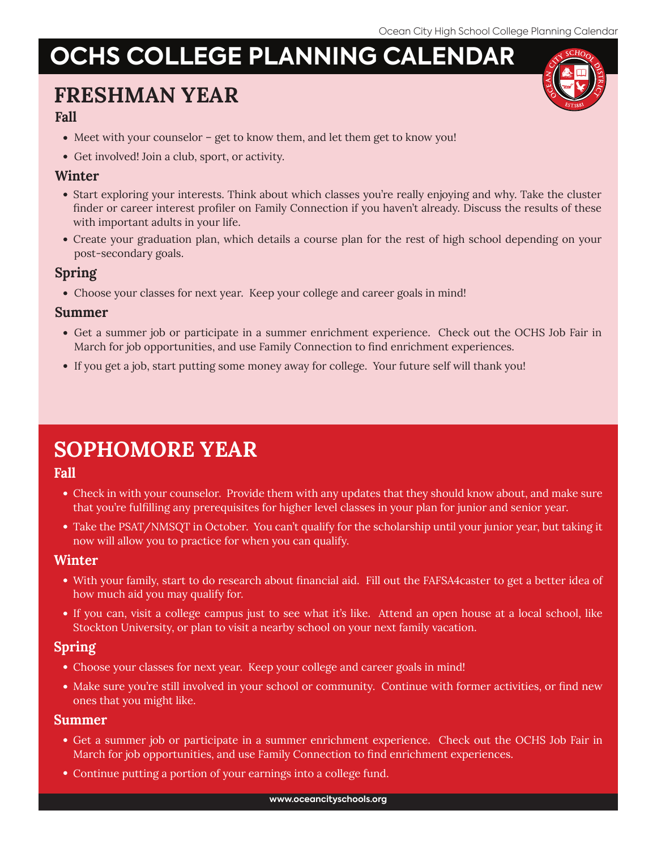# **OCHS COLLEGE PLANNING CALENDAR**

## **FRESHMAN YEAR**

### **Fall**

- Meet with your counselor get to know them, and let them get to know you!
- Get involved! Join a club, sport, or activity.

#### **Winter**

- Start exploring your interests. Think about which classes you're really enjoying and why. Take the cluster finder or career interest profiler on Family Connection if you haven't already. Discuss the results of these with important adults in your life.
- Create your graduation plan, which details a course plan for the rest of high school depending on your post-secondary goals.

### **Spring**

Choose your classes for next year. Keep your college and career goals in mind!

#### **Summer**

- Get a summer job or participate in a summer enrichment experience. Check out the OCHS Job Fair in March for job opportunities, and use Family Connection to find enrichment experiences.
- If you get a job, start putting some money away for college. Your future self will thank you!

## **SOPHOMORE YEAR**

### **Fall**

- Check in with your counselor. Provide them with any updates that they should know about, and make sure that you're fulfilling any prerequisites for higher level classes in your plan for junior and senior year.
- Take the PSAT/NMSQT in October. You can't qualify for the scholarship until your junior year, but taking it now will allow you to practice for when you can qualify.

#### **Winter**

- With your family, start to do research about financial aid. Fill out the FAFSA4caster to get a better idea of how much aid you may qualify for.
- If you can, visit a college campus just to see what it's like. Attend an open house at a local school, like Stockton University, or plan to visit a nearby school on your next family vacation.

### **Spring**

- Choose your classes for next year. Keep your college and career goals in mind!
- Make sure you're still involved in your school or community. Continue with former activities, or find new ones that you might like.

#### **Summer**

- Get a summer job or participate in a summer enrichment experience. Check out the OCHS Job Fair in March for job opportunities, and use Family Connection to find enrichment experiences.
- Continue putting a portion of your earnings into a college fund.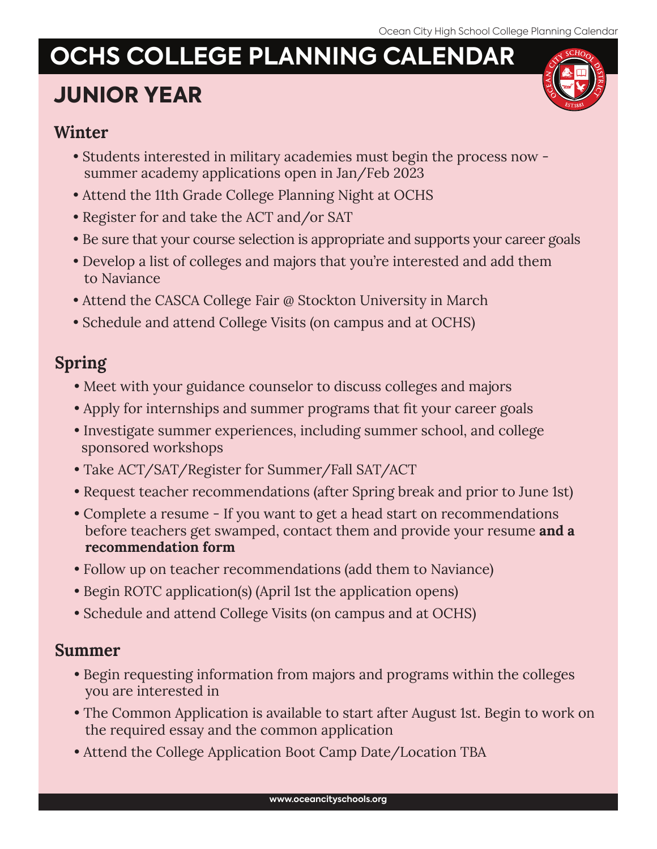# **OCHS COLLEGE PLANNING CALENDAR**

# **JUNIOR YEAR**



## **Winter**

- Students interested in military academies must begin the process now summer academy applications open in Jan/Feb 2023
- Attend the 11th Grade College Planning Night at OCHS
- Register for and take the ACT and/or SAT
- Be sure that your course selection is appropriate and supports your career goals
- Develop a list of colleges and majors that you're interested and add them to Naviance
- Attend the CASCA College Fair @ Stockton University in March
- Schedule and attend College Visits (on campus and at OCHS)

## **Spring**

- Meet with your guidance counselor to discuss colleges and majors
- Apply for internships and summer programs that fit your career goals
- Investigate summer experiences, including summer school, and college sponsored workshops
- Take ACT/SAT/Register for Summer/Fall SAT/ACT
- Request teacher recommendations (after Spring break and prior to June 1st)
- Complete a resume If you want to get a head start on recommendations before teachers get swamped, contact them and provide your resume **and a recommendation form**
- Follow up on teacher recommendations (add them to Naviance)
- Begin ROTC application(s) (April 1st the application opens)
- Schedule and attend College Visits (on campus and at OCHS)

## **Summer**

- Begin requesting information from majors and programs within the colleges you are interested in
- The Common Application is available to start after August 1st. Begin to work on the required essay and the common application
- Attend the College Application Boot Camp Date/Location TBA